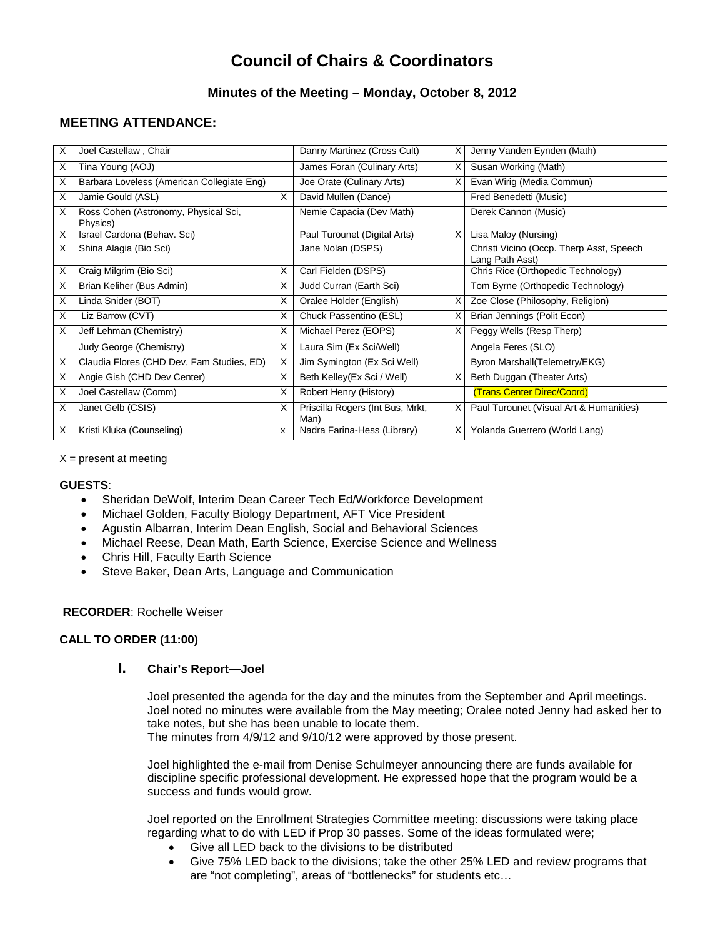# **Council of Chairs & Coordinators**

# **Minutes of the Meeting – Monday, October 8, 2012**

# **MEETING ATTENDANCE:**

| X | Joel Castellaw, Chair                            |   | Danny Martinez (Cross Cult)              | X | Jenny Vanden Eynden (Math)                                  |
|---|--------------------------------------------------|---|------------------------------------------|---|-------------------------------------------------------------|
| X | Tina Young (AOJ)                                 |   | James Foran (Culinary Arts)              | х | Susan Working (Math)                                        |
| X | Barbara Loveless (American Collegiate Eng)       |   | Joe Orate (Culinary Arts)                | X | Evan Wirig (Media Commun)                                   |
| X | Jamie Gould (ASL)                                | X | David Mullen (Dance)                     |   | Fred Benedetti (Music)                                      |
| X | Ross Cohen (Astronomy, Physical Sci,<br>Physics) |   | Nemie Capacia (Dev Math)                 |   | Derek Cannon (Music)                                        |
| X | Israel Cardona (Behav. Sci)                      |   | Paul Turounet (Digital Arts)             | X | Lisa Maloy (Nursing)                                        |
| X | Shina Alagia (Bio Sci)                           |   | Jane Nolan (DSPS)                        |   | Christi Vicino (Occp. Therp Asst, Speech<br>Lang Path Asst) |
| X | Craig Milgrim (Bio Sci)                          | X | Carl Fielden (DSPS)                      |   | Chris Rice (Orthopedic Technology)                          |
| X | Brian Keliher (Bus Admin)                        | X | Judd Curran (Earth Sci)                  |   | Tom Byrne (Orthopedic Technology)                           |
| X | Linda Snider (BOT)                               | X | Oralee Holder (English)                  | X | Zoe Close (Philosophy, Religion)                            |
| X | Liz Barrow (CVT)                                 | X | Chuck Passentino (ESL)                   | X | Brian Jennings (Polit Econ)                                 |
| X | Jeff Lehman (Chemistry)                          | X | Michael Perez (EOPS)                     | X | Peggy Wells (Resp Therp)                                    |
|   | Judy George (Chemistry)                          | X | Laura Sim (Ex Sci/Well)                  |   | Angela Feres (SLO)                                          |
| X | Claudia Flores (CHD Dev, Fam Studies, ED)        | X | Jim Symington (Ex Sci Well)              |   | Byron Marshall(Telemetry/EKG)                               |
| X | Angie Gish (CHD Dev Center)                      | X | Beth Kelley(Ex Sci / Well)               | X | Beth Duggan (Theater Arts)                                  |
| X | Joel Castellaw (Comm)                            | X | Robert Henry (History)                   |   | (Trans Center Direc/Coord)                                  |
| X | Janet Gelb (CSIS)                                | X | Priscilla Rogers (Int Bus, Mrkt,<br>Man) | X | Paul Turounet (Visual Art & Humanities)                     |
| X | Kristi Kluka (Counseling)                        | x | Nadra Farina-Hess (Library)              | X | Yolanda Guerrero (World Lang)                               |

 $X =$  present at meeting

#### **GUESTS**:

- Sheridan DeWolf, Interim Dean Career Tech Ed/Workforce Development
- Michael Golden, Faculty Biology Department, AFT Vice President
- Agustin Albarran, Interim Dean English, Social and Behavioral Sciences
- Michael Reese, Dean Math, Earth Science, Exercise Science and Wellness
- Chris Hill, Faculty Earth Science
- Steve Baker, Dean Arts, Language and Communication

# **RECORDER**: Rochelle Weiser

# **CALL TO ORDER (11:00)**

# **I. Chair's Report—Joel**

Joel presented the agenda for the day and the minutes from the September and April meetings. Joel noted no minutes were available from the May meeting; Oralee noted Jenny had asked her to take notes, but she has been unable to locate them. The minutes from 4/9/12 and 9/10/12 were approved by those present.

Joel highlighted the e-mail from Denise Schulmeyer announcing there are funds available for discipline specific professional development. He expressed hope that the program would be a success and funds would grow.

Joel reported on the Enrollment Strategies Committee meeting: discussions were taking place regarding what to do with LED if Prop 30 passes. Some of the ideas formulated were;

- Give all LED back to the divisions to be distributed
- Give 75% LED back to the divisions; take the other 25% LED and review programs that are "not completing", areas of "bottlenecks" for students etc…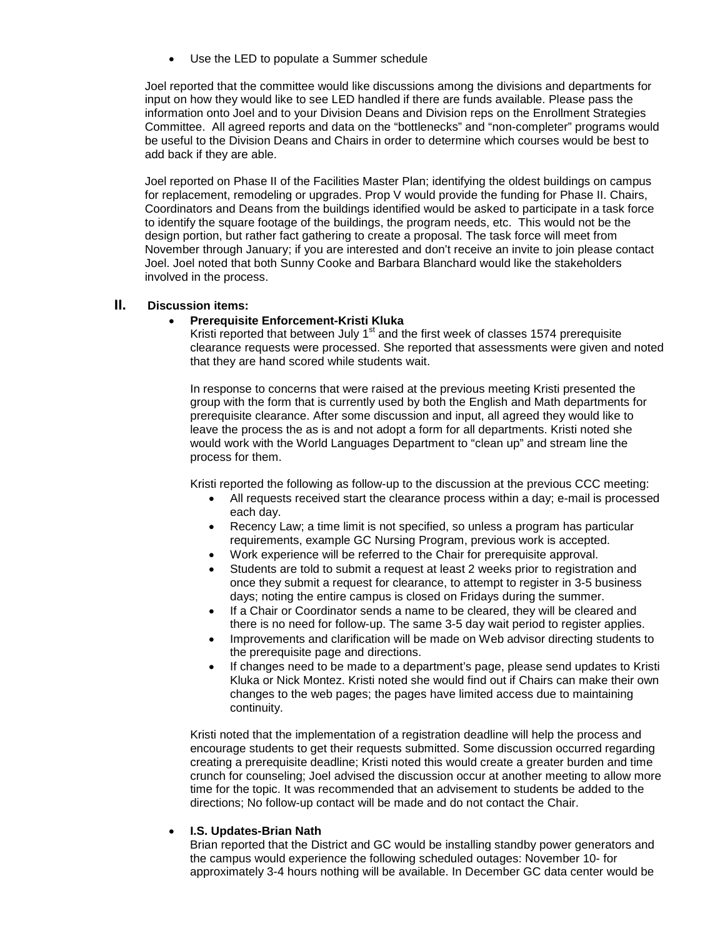Use the LED to populate a Summer schedule

Joel reported that the committee would like discussions among the divisions and departments for input on how they would like to see LED handled if there are funds available. Please pass the information onto Joel and to your Division Deans and Division reps on the Enrollment Strategies Committee. All agreed reports and data on the "bottlenecks" and "non-completer" programs would be useful to the Division Deans and Chairs in order to determine which courses would be best to add back if they are able.

Joel reported on Phase II of the Facilities Master Plan; identifying the oldest buildings on campus for replacement, remodeling or upgrades. Prop V would provide the funding for Phase II. Chairs, Coordinators and Deans from the buildings identified would be asked to participate in a task force to identify the square footage of the buildings, the program needs, etc. This would not be the design portion, but rather fact gathering to create a proposal. The task force will meet from November through January; if you are interested and don't receive an invite to join please contact Joel. Joel noted that both Sunny Cooke and Barbara Blanchard would like the stakeholders involved in the process.

# **II. Discussion items:**

# • **Prerequisite Enforcement-Kristi Kluka**

Kristi reported that between July 1<sup>st</sup> and the first week of classes 1574 prerequisite clearance requests were processed. She reported that assessments were given and noted that they are hand scored while students wait.

In response to concerns that were raised at the previous meeting Kristi presented the group with the form that is currently used by both the English and Math departments for prerequisite clearance. After some discussion and input, all agreed they would like to leave the process the as is and not adopt a form for all departments. Kristi noted she would work with the World Languages Department to "clean up" and stream line the process for them.

Kristi reported the following as follow-up to the discussion at the previous CCC meeting:

- All requests received start the clearance process within a day; e-mail is processed each day.
- Recency Law; a time limit is not specified, so unless a program has particular requirements, example GC Nursing Program, previous work is accepted.
- Work experience will be referred to the Chair for prerequisite approval.
- Students are told to submit a request at least 2 weeks prior to registration and once they submit a request for clearance, to attempt to register in 3-5 business days; noting the entire campus is closed on Fridays during the summer.
- If a Chair or Coordinator sends a name to be cleared, they will be cleared and there is no need for follow-up. The same 3-5 day wait period to register applies.
- Improvements and clarification will be made on Web advisor directing students to the prerequisite page and directions.
- If changes need to be made to a department's page, please send updates to Kristi Kluka or Nick Montez. Kristi noted she would find out if Chairs can make their own changes to the web pages; the pages have limited access due to maintaining continuity.

Kristi noted that the implementation of a registration deadline will help the process and encourage students to get their requests submitted. Some discussion occurred regarding creating a prerequisite deadline; Kristi noted this would create a greater burden and time crunch for counseling; Joel advised the discussion occur at another meeting to allow more time for the topic. It was recommended that an advisement to students be added to the directions; No follow-up contact will be made and do not contact the Chair.

#### • **I.S. Updates-Brian Nath**

Brian reported that the District and GC would be installing standby power generators and the campus would experience the following scheduled outages: November 10- for approximately 3-4 hours nothing will be available. In December GC data center would be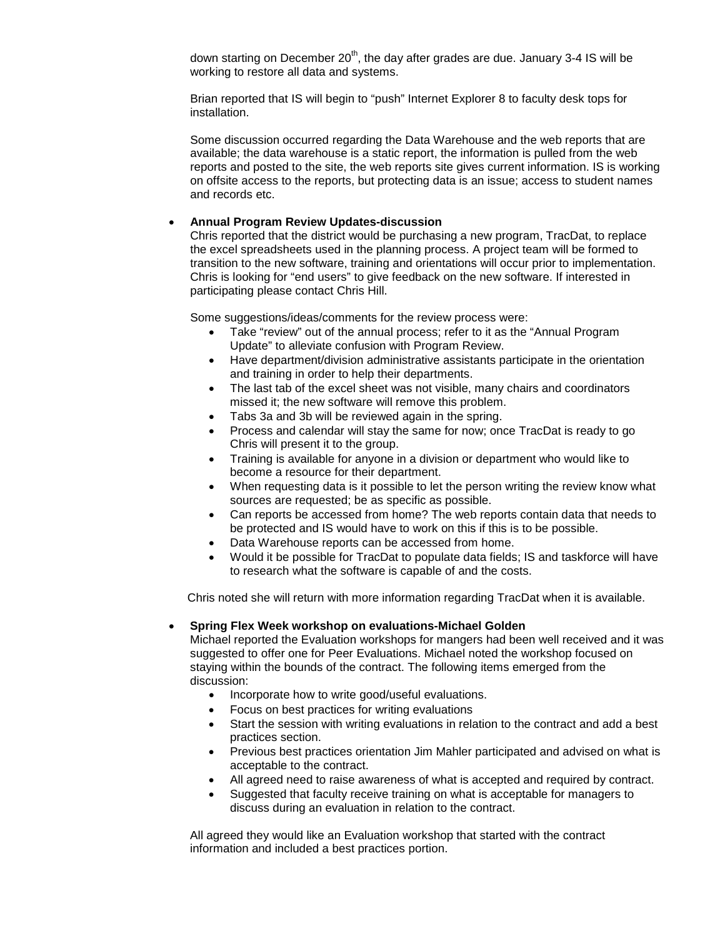down starting on December  $20<sup>th</sup>$ , the day after grades are due. January 3-4 IS will be working to restore all data and systems.

Brian reported that IS will begin to "push" Internet Explorer 8 to faculty desk tops for installation.

Some discussion occurred regarding the Data Warehouse and the web reports that are available; the data warehouse is a static report, the information is pulled from the web reports and posted to the site, the web reports site gives current information. IS is working on offsite access to the reports, but protecting data is an issue; access to student names and records etc.

#### • **Annual Program Review Updates-discussion**

Chris reported that the district would be purchasing a new program, TracDat, to replace the excel spreadsheets used in the planning process. A project team will be formed to transition to the new software, training and orientations will occur prior to implementation. Chris is looking for "end users" to give feedback on the new software. If interested in participating please contact Chris Hill.

Some suggestions/ideas/comments for the review process were:

- Take "review" out of the annual process; refer to it as the "Annual Program Update" to alleviate confusion with Program Review.
- Have department/division administrative assistants participate in the orientation and training in order to help their departments.
- The last tab of the excel sheet was not visible, many chairs and coordinators missed it; the new software will remove this problem.
- Tabs 3a and 3b will be reviewed again in the spring.
- Process and calendar will stay the same for now; once TracDat is ready to go Chris will present it to the group.
- Training is available for anyone in a division or department who would like to become a resource for their department.
- When requesting data is it possible to let the person writing the review know what sources are requested; be as specific as possible.
- Can reports be accessed from home? The web reports contain data that needs to be protected and IS would have to work on this if this is to be possible.
- Data Warehouse reports can be accessed from home.
- Would it be possible for TracDat to populate data fields; IS and taskforce will have to research what the software is capable of and the costs.

Chris noted she will return with more information regarding TracDat when it is available.

#### • **Spring Flex Week workshop on evaluations-Michael Golden**

Michael reported the Evaluation workshops for mangers had been well received and it was suggested to offer one for Peer Evaluations. Michael noted the workshop focused on staying within the bounds of the contract. The following items emerged from the discussion:

- Incorporate how to write good/useful evaluations.
- Focus on best practices for writing evaluations
- Start the session with writing evaluations in relation to the contract and add a best practices section.
- Previous best practices orientation Jim Mahler participated and advised on what is acceptable to the contract.
- All agreed need to raise awareness of what is accepted and required by contract.
- Suggested that faculty receive training on what is acceptable for managers to discuss during an evaluation in relation to the contract.

All agreed they would like an Evaluation workshop that started with the contract information and included a best practices portion.